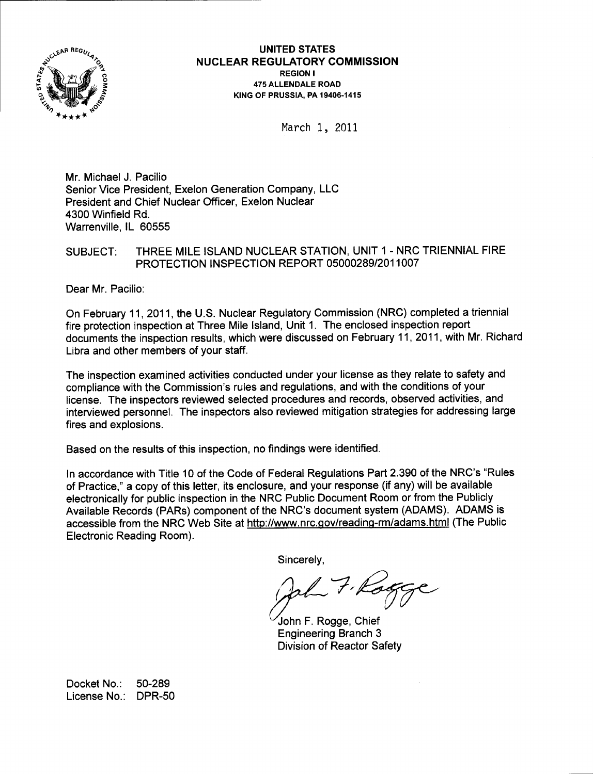

UNITED STATES <sup>N</sup>UGLEAR REGULATORY GOMMISSION REGION I 475 ALLENDALE ROAD KING OF PRUSSIA. PA 19406-141s

March 1, 2011

Mr. Michael J. Pacilio Senior Vice President, Exelon Generation Company, LLC President and Chief Nuclear Officer, Exelon Nuclear 4300 Winfield Rd. Warrenville, lL 60555

### SUBJECT: THREE MILE ISLAND NUCLEAR STATION, UNIT 1 - NRC TRIENNIAL FIRE PROTECTION INSPECTION REPORT O5OOO289/201 1OO7

Dear Mr. Pacilio:

On February 11,2011, the U.S. Nuclear Regulatory Commission (NRC) completed a triennial fire protection inspection at Three Mile lsland, Unit 1. The enclosed inspection report documents the inspection results, which were discussed on February 11,2011, with Mr. Richard Libra and other members of your staff.

The inspection examined activities conducted under your license as they relate to safety and compliance with the Commission's rules and regulations, and with the conditions of your license. The inspectors reviewed selected procedures and records, observed activities, and interviewed personnel. The inspectors also reviewed mitigation strategies for addressing large fires and explosions.

Based on the results of this inspection, no findings were identified.

In accordance with Title 10 of the Code of Federal Regulations Part 2.390 of the NRC's "Rules of Practice," a copy of this letter, its enclosure, and your response (if any) will be available electronically for public inspection in the NRC Public Document Room or from the Publicly Available Records (PARs) component of the NRC's document system (ADAMS). ADAMS is accessible from the NRC Web Site at http://www.nrc.gov/reading-rm/adams.html (The Public Electronic Reading Room).

Sincerely,

John F. Rogge, Chief

Engineering Branch 3 Division of Reactor Safety

Docket No.: 50-289 License No.: DPR-50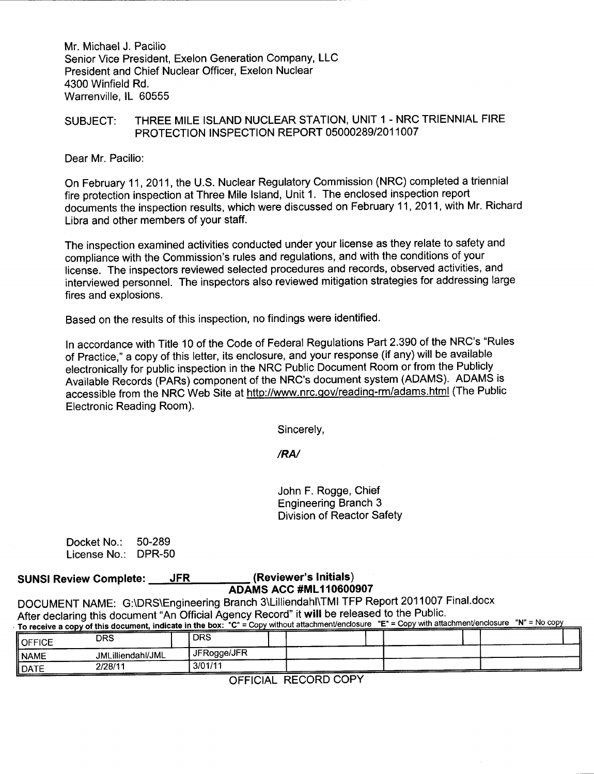Mr. Michael J. Pacilio Senior Vice President, Exelon Generation Company, LLC President and Chief Nuclear Officer, Exelon Nuclear 4300 Winfield Rd. Warrenville, lL 60555

### SUBJECT: THREE MILE ISLAND NUCLEAR STATION, UNIT 1 - NRC TRIENNIAL FIRE PROTECTION INSPECTION REPORT 05000289/2011007

Dear Mr. Pacilio:

On February 11,2011, the U.S. Nuclear Regulatory Commission (NRC) completed a triennial fire protection inspection at Three Mile lsland, Unit 1. The enclosed inspection report documents the inspection results, which were discussed on February 11,2011, with Mr. Richard Libra and other members of your staff.

The inspection examined activities conducted under your license as they relate to safety and compliance with the Commission's rules and regulations, and with the conditions of your license. The inspectors reviewed selected procedures and records, observed activities, and interviewed personnel. The inspectors also reviewed mitigation strategies for addressing large fires and explosions.

Based on the results of this inspection, no findings were identified.

ln accordance with Title 10 of the Code of Federal Regulations Part 2.390 of the NRC's "Rules of Practice," a copy of this letter, its enclosure, and your response (if any) will be available electronically for public inspection in the NRC Public Document Room or from the Publicly Available Records (PARs) component of the NRC's document system (ADAMS). ADAMS is accessible from the NRC Web Site at http://www.nrc.gov/reading-rm/adams.html (The Public Electronic Reading Room).

Sincerely,

/RN

John F. Rogge, Chief Engineering Branch 3 Division of Reactor SafetY

| Docket No.:  | 50-289        |
|--------------|---------------|
| License No.: | <b>DPR-50</b> |

### SUNSI Review Gomplete: JFR (Reviewer's Initials)

ADAMS ACC #ML110600907<br>DOCUMENT NAME: G:\DRS\Engineering Branch 3\Lilliendahl\TMI TFP Report 2011007 Final.docx After declaring this document "An Official Agency Record" it will be released to the Public.  $\Gamma_{\rm IC}^{\rm P} = \Gamma_{\rm CO}$  without attachment/enclosure "E" = Copy with attachment/enclosure "N" = No copy" and that and a finished boys.

| To receive a copy of this document, murcate in the box. O<br>$\sim$ |                   |             |  |  |  |  |  |  |
|---------------------------------------------------------------------|-------------------|-------------|--|--|--|--|--|--|
| <b>OFFICE</b>                                                       | DRS               | <b>DRS</b>  |  |  |  |  |  |  |
| NAME                                                                | JMLilliendahl/JML | JFRogge/JFR |  |  |  |  |  |  |
| $\parallel$ DATE                                                    | 2/28/11           | 3/01/1      |  |  |  |  |  |  |

OFFICIAL RECORD COPY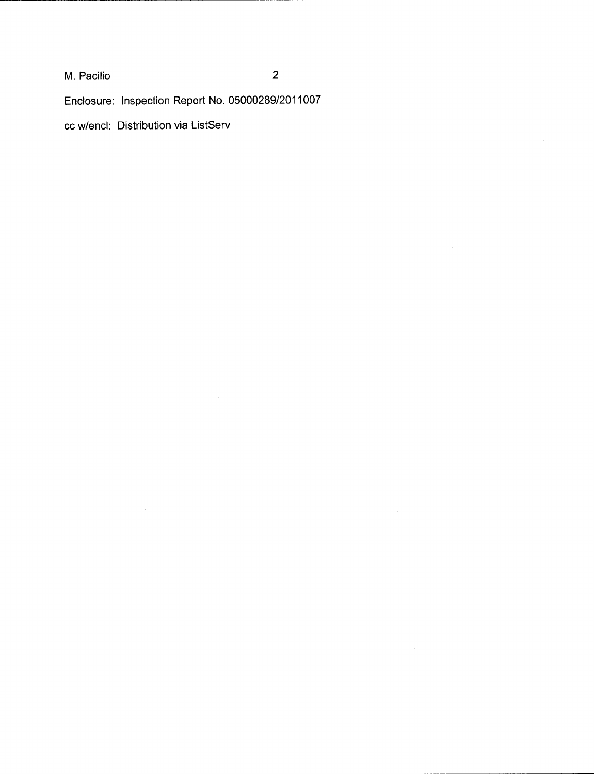M. Pacilio

Enclosure: lnspection Report No. 050002891201 1007

cc w/encl: Distribution via ListServ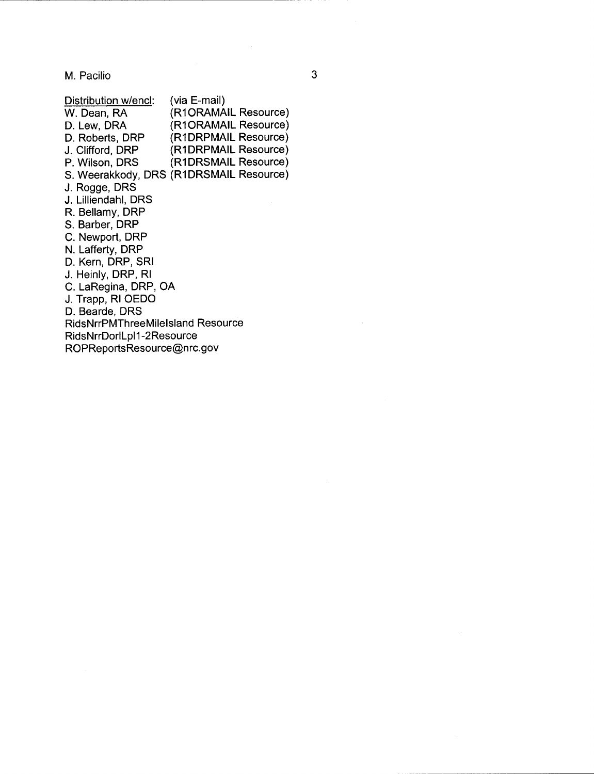M. Pacilio

Distribution w/encl: (via E-mail)<br>W. Dean, RA (R1ORAMA W. Dean, RA (R1ORAMAIL Resource)<br>D. Lew, DRA (R1ORAMAIL Resource) D. Lew, DRA (R1ORAMAIL Resource)<br>D. Roberts, DRP (R1DRPMAIL Resource) D. Roberts, DRP (R1DRPMAIL Resource)<br>
J. Clifford. DRP (R1DRPMAIL Resource) J. Clifford, DRP (R1DRPMAIL Resource)<br>P. Wilson, DRS (R1DRSMAIL Resource) (R1DRSMAIL Resource) S. Weerakkody, DRS (R1DRSMAIL Resource) J. Rogge, DRS J. Lilliendahl, DRS R. Bellamy, DRP S. Barber, DRP C. Newport, DRP N. Lafferty, DRP D. Kern, DRP, SRI J. Heinly, DRP, Rl C. LaRegina, DRP, OA J. Trapp, Rl OEDO D. Bearde, DRS RidsNrrPMThreeMilelsland Resource RidsNrrDorlLpl1-2Resource ROPReportsResource@nrc.gov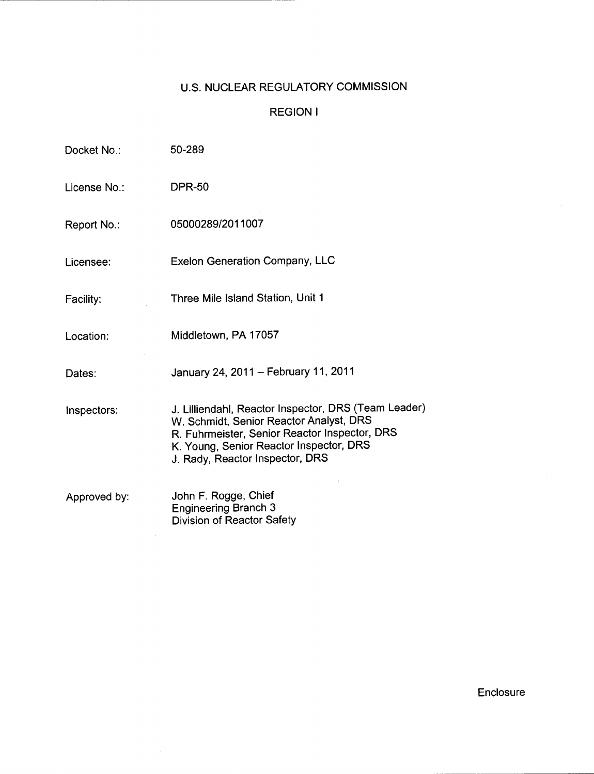### U.S. NUCLEAR REGULATORY COMMISSION

### REGION <sup>I</sup>

| Docket No.:  | 50-289                                                                                                                                                                                                                         |
|--------------|--------------------------------------------------------------------------------------------------------------------------------------------------------------------------------------------------------------------------------|
| License No.: | <b>DPR-50</b>                                                                                                                                                                                                                  |
| Report No.:  | 05000289/2011007                                                                                                                                                                                                               |
| Licensee:    | <b>Exelon Generation Company, LLC</b>                                                                                                                                                                                          |
| Facility:    | Three Mile Island Station, Unit 1                                                                                                                                                                                              |
| Location:    | Middletown, PA 17057                                                                                                                                                                                                           |
| Dates:       | January 24, 2011 - February 11, 2011                                                                                                                                                                                           |
| inspectors:  | J. Lilliendahl, Reactor Inspector, DRS (Team Leader)<br>W. Schmidt, Senior Reactor Analyst, DRS<br>R. Fuhrmeister, Senior Reactor Inspector, DRS<br>K. Young, Senior Reactor Inspector, DRS<br>J. Rady, Reactor Inspector, DRS |
| Approved by: | John F. Rogge, Chief<br><b>Engineering Branch 3</b><br>Division of Reactor Safety                                                                                                                                              |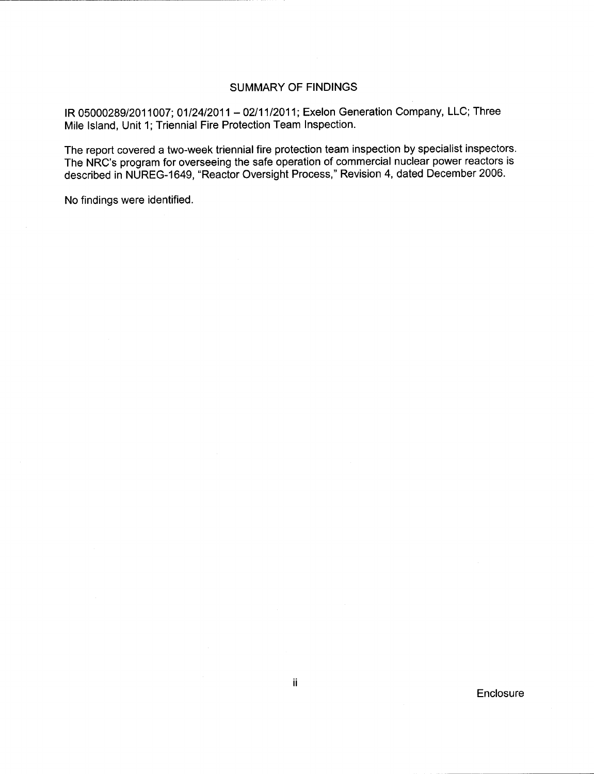#### SUMMARY OF FINDINGS

IR 05000289/2011007; 01/24/2011 - 02/11/2011; Exelon Generation Company, LLC; Three Mile lsland, Unit 1; Triennial Fire Protection Team Inspection.

The report covered a two-week triennial fire protection team inspection by specialist inspectors. The NRC's program for overseeing the safe operation of commercial nuclear power reactors is described in NUREG-1649, "Reactor Oversight Process," Revision 4, dated December 2006.

No findings were identified.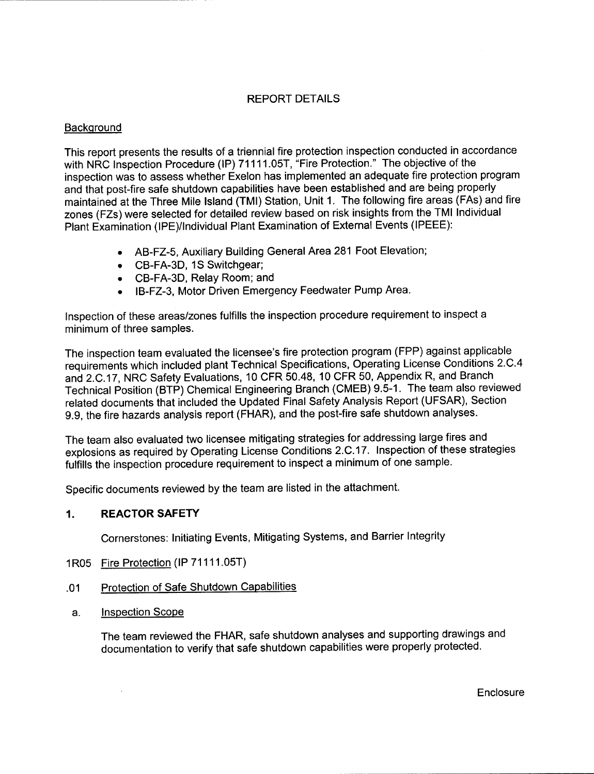#### REPORT DETAILS

#### **Background**

This report presents the results of a triennial fire protection inspection conducted in accordance with NRC Inspection Procedure (IP) 71111.05T, "Fire Protection." The objective of the inspection was to assess whether Exelon has implemented an adequate fire protection program and that post-fire safe shutdown capabilities have been established and are being properly maintained at the Three Mile lsland (TMl) Station, Unit 1. The following fire areas (FAs) and fire zones (FZs) were selected for detailed review based on risk insights from the TMI Individual Plant Examination (IPE)/Individual Plant Examination of External Events (IPEEE):

- o AB-FZ-S, Auxiliary Building General Area281 Foot Elevation;
- . CB-FA-3D, 1S Switchgear;
- . CB-FA-3D, Relay Room; and
- IB-FZ-3, Motor Driven Emergency Feedwater Pump Area.

Inspection of these areas/zones fulfills the inspection procedure requirement to inspect <sup>a</sup> minimum of three samples.

The inspection team evaluated the licensee's fire protection program (FPP) against applicable requirements which included plant Technical Specifications, Operating License Conditions 2.C.4 and 2.C.17, NRC Safety Evaluations, 10 CFR 50.48, 10 CFR 50, Appendix R, and Branch Technical Position (BTP) Chemical Engineering Branch (CMEB) 9.5-1. The team also reviewed related documents that included the Updated Final Safety Analysis Report (UFSAR), Section g.9, the fire hazards analysis report (FHAR), and the post-fire safe shutdown analyses.

The team also evaluated two licensee mitigating strategies for addressing large fires and explosions as required by Operating License Conditions 2.C.17. Inspection of these strategies fulfills the inspection procedure requirement to inspect a minimum of one sample.

Specific documents reviewed by the team are listed in the attachment.

#### 1. REACTORSAFETY

Cornerstones: Initiating Events, Mitigating Systems, and Barrier Integrity

- 1R05 Fire Protection (IP 71111.05T)
- .01 Protection of Safe Shutdown Capabilities
- a. lnspection Scope

 $\bar{z}$ 

The team reviewed the FHAR, safe shutdown analyses and supporting drawings and documentation to verify that safe shutdown capabilities were properly protected.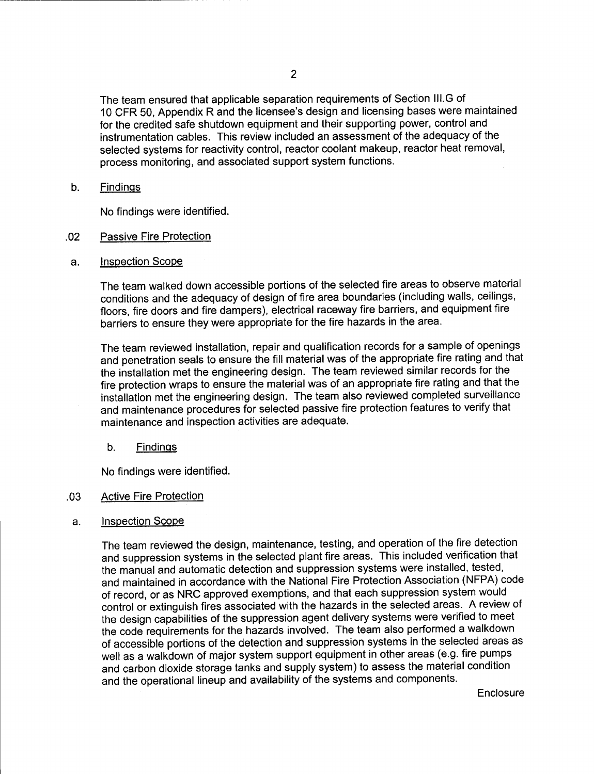The team ensured that applicable separation requirements of Section lll.G of 10 CFR 50, Appendix R and the licensee's design and licensing bases were maintained for the credited safe shutdown equipment and their supporting power, control and instrumentation cables. This review included an assessment of the adequacy of the selected systems for reactivity control, reactor coolant makeup, reactor heat removal, process monitoring, and associated support system functions.

b. Findinqs

No findings were identified.

- .02 Passive Fire Protection
- a. lnspection Scope

The team walked down accessible portions of the selected fire areas to observe material conditions and the adequacy of design of fire area boundaries (including walls, ceilings, floors, fire doors and fire dampers), electrical raceway fire barriers, and equipment fire barriers to ensure they were appropriate for the fire hazards in the area.

The team reviewed installation, repair and qualification records for a sample of openings and penetration seals to ensure the fill material was of the appropriate fire rating and that the installation met the engineering design. The team reviewed similar records for the fire protection wraps to ensure the material was of an appropriate fire rating and that the installation met the engineering design. The team also reviewed completed surveillance and maintenance procedures for selected passive fire protection features to verify that maintenance and inspection activities are adequate.

b. Findinqs

No findings were identified.

#### Active Fire Protection .03

#### a. Inspection Scope

The team reviewed the design, maintenance, testing, and operation of the fire detection and suppression systems in the selected plant fire areas. This included verification that the manual and automatic detection and suppression systems were installed, tested, and maintained in accordance with the National Fire Protection Association (NFPA) code of record, or as NRC approved exemptions, and that each suppression system would control or extinguish fires associated with the hazards in the selected areas. A review of the design capabilities of the suppression agent delivery systems were verified to meet the code requirements for the hazards involved. The team also performed a walkdown of accessible portions of the detection and suppression systems in the selected areas as well as a walkdown of major system support equipment in other areas (e.9. fire pumps and carbon dioxide storage tanks and supply system) to assess the material condition and the operational lineup and availability of the systems and components.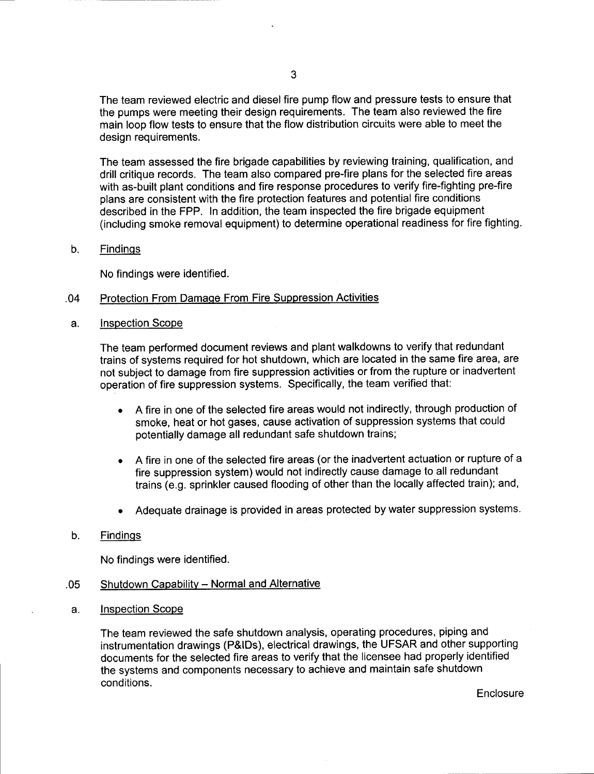The team reviewed electric and diesel fire pump flow and pressure tests to ensure that the pumps were meeting their design requirements. The team also reviewed the fire main loop flow tests to ensure that the flow distribution circuits were able to meet the design requirements.

The team assessed the fire brigade capabilities by reviewing training, qualification, and drill critique records. The team also compared pre-fire plans for the selected fire areas with as-built plant conditions and fire response procedures to verify fire-fighting pre-fire plans are consistent with the fire protection features and potential fire conditions described in the FPP. In addition, the team inspected the fire brigade equipment (including smoke removal equipment) to determine operational readiness for fire fighting.

#### b. Findings

No findings were identified.

#### .04 Protection From Damaoe From Fire Suppression Activities

a. Inspection Scope

The team performed document reviews and plant walkdowns to verify that redundant trains of systems required for hot shutdown, which are located in the same fire area, are not subject to damage from fire suppression activities or from the rupture or inadvertent operation of fire suppression systems. Specifically, the team verified that:

- . A fire in one of the selected fire areas would not indirectly, through production of smoke, heat or hot gases, cause activation of suppression systems that could potentially damage all redundant safe shutdown trains;
- A fire in one of the selected fire areas (or the inadvertent actuation or rupture of a fire suppression system) would not indirectly cause damage to all redundant trains (e.g. sprinkler caused flooding of other than the locally affected train); and,
- Adequate drainage is provided in areas protected by water suppression systems.

#### b. Findinqs

No findings were identified.

#### .05 Shutdown Capability - Normal and Alternative

a. Inspection Scope

The team reviewed the safe shutdown analysis, operating procedures, piping and instrumentation drawings (P&lDs), electrical drawings, the UFSAR and other supporting documents for the selected fire areas to verify that the licensee had properly identified the systems and components necessary to achieve and maintain safe shutdown conditions.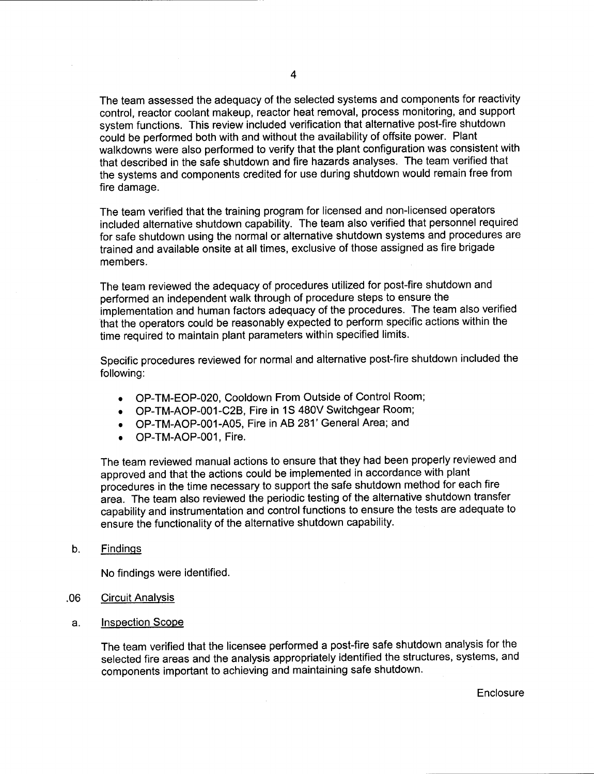The team assessed the adequacy of the selected systems and components for reactivity control, reactor coolant makeup, reactor heat removal, process monitoring, and support system functions. This review included verification that alternative post-fire shutdown could be performed both with and without the availability of offsite power. Plant walkdowns were also performed to verify that the plant configuration was consistent with that described in the safe shutdown and fire hazards analyses. The team verified that the systems and components credited for use during shutdown would remain free from fire damage.

The team verified that the training program for licensed and non-licensed operators included alternative shutdown capability. The team also verified that personnel required for safe shutdown using the normal or alternative shutdown systems and procedures are trained and available onsite at all times, exclusive of those assigned as fire brigade members.

The team reviewed the adequacy of procedures utilized for post-fire shutdown and performed an independent walk through of procedure steps to ensure the implementation and human factors adequacy of the procedures. The team also verified that the operators could be reasonably expected to perform specific actions within the time required to maintain plant parameters within specified limits.

Specific procedures reviewed for normal and alternative post-fire shutdown included the following:

- . OP-TM-EOP-020, Cooldown From Outside of Control Room;
- . OP-TM-AOP-001-C28, Fire in 1S 480V Switchgear Room;
- OP-TM-AOP-001-A05, Fire in AB 281' General Area; and
- OP-TM-AOP-001, Fire.

The team reviewed manual actions to ensure that they had been properly reviewed and approved and that the actions could be implemented in accordance with plant procedures in the time necessary to support the safe shutdown method for each fire area. The team also reviewed the periodic testing of the alternative shutdown transfer capability and instrumentation and control functions to ensure the tests are adequate to ensure the functionality of the alternative shutdown capability.

b. Findinqs

No findings were identified.

- .06 Circuit Analvsis
- Inspection Scope a.

The team verified that the licensee performed a post-fire safe shutdown analysis for the selected fire areas and the analysis appropriately identified the structures, systems, and components important to achieving and maintaining safe shutdown.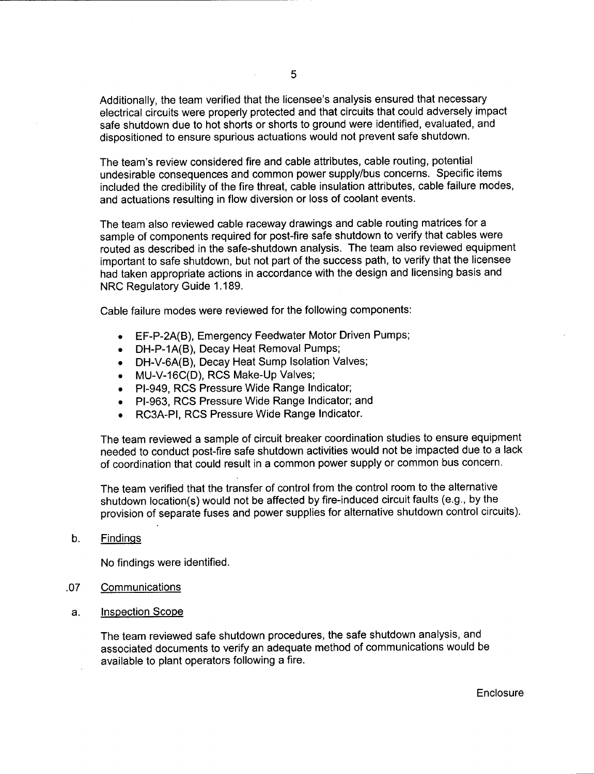Additionally, the team verified that the licensee's analysis ensured that necessary electrical circuits were properly protected and that circuits that could adversely impact safe shutdown due to hot shorts or shorts to ground were identified, evaluated, and dispositioned to ensure spurious actuations would not prevent safe shutdown.

The team's review considered fire and cable attributes, cable routing, potential undesirable consequences and common power supply/bus concerns. Specific items included the credibility of the fire threat, cable insulation attributes, cable failure modes, and actuations resulting in flow diversion or loss of coolant events.

The team also reviewed cable raceway drawings and cable routing matrices for <sup>a</sup> sample of components required for post-fire safe shutdown to verify that cables were routed as described in the safe-shutdown analysis. The team also reviewed equipment important to safe shutdown, but not part of the success path, to verify that the licensee had taken appropriate actions in accordance with the design and licensing basis and NRC Regulatory Guide 1.189.

Cable failure modes were reviewed for the following components:

- EF-P-2A(B), Emergency Feedwater Motor Driven Pumps;
- DH-P-1A(B), Decay Heat Removal Pumps;
- DH-V-6A(B), Decay Heat Sump Isolation Valves;
- MU-V-16C(D), RCS Make-Up Valves;
- PI-949, RCS Pressure Wide Range Indicator;
- PI-963, RCS Pressure Wide Range Indicator; and
- RC3A-PI, RCS Pressure Wide Range Indicator.

The team reviewed a sample of circuit breaker coordination studies to ensure equipment needed to conduct post-fire safe shutdown activities would not be impacted due to a lack of coordination that could result in a common power supply or common bus concern.

The team verified that the transfer of control from the control room to the alternative shutdown location(s) would not be affected by fire-induced circuit faults (e.9., by the provision of separate fuses and power supplies for alternative shutdown control circuits).

b. Findings

No findings were identified.

- .07 Communications
- a. Inspection Scope

The team reviewed safe shutdown procedures, the safe shutdown analysis, and associated documents to verify an adequate method of communications would be available to plant operators following a fire.

 $\sim$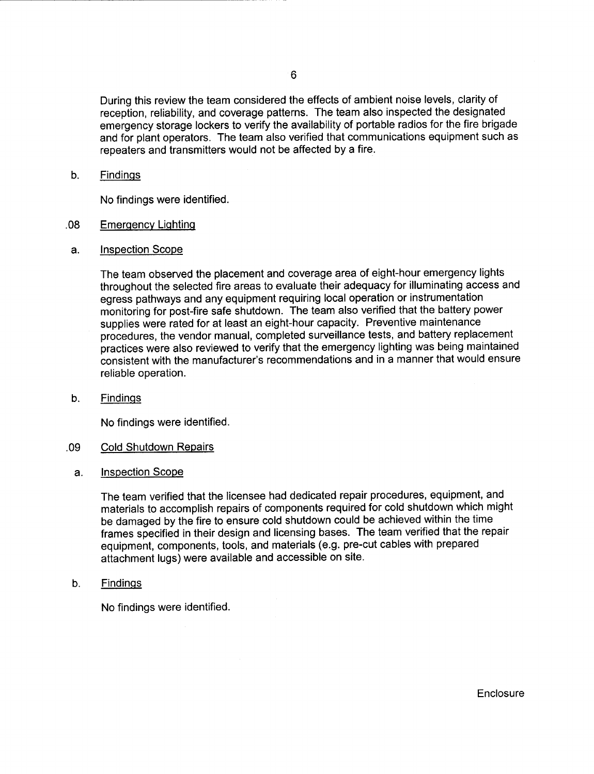During this review the team considered the effects of ambient noise levels, clarity of reception, reliability, and coverage patterns. The team also inspected the designated emergency storage lockers to verify the availability of portable radios for the fire brigade and for plant operators. The team also verified that communications equipment such as repeaters and transmitters would not be affected by a fire.

#### b. **Findings**

No findings were identified.

#### Emerqencv Liqhtinq .08

Inspection Scope a.

> The team observed the placement and coverage area of eight-hour emergency lights throughout the selected fire areas to evaluate their adequacy for illuminating access and egress pathways and any equipment requiring local operation or instrumentation monitoring for post-fire safe shutdown. The team also verified that the battery power supplies were rated for at least an eight-hour capacity. Preventive maintenance procedures, the vendor manual, completed surveillance tests, and battery replacement practices were also reviewed to verify that the emergency lighting was being maintained consistent with the manufacturer's recommendations and in a manner that would ensure reliable operation.

 $b<sub>1</sub>$ Findinqs

No findings were identified.

#### Cold Shutdown Repairs .09

Inspection Scope a.

> The team verified that the licensee had dedicated repair procedures, equipment, and materials to accomplish repairs of components required for cold shutdown which might be damaged by the fire to ensure cold shutdown could be achieved within the time frames specified in their design and licensing bases. The team verified that the repair equipment, components, tools, and materials (e.9. pre-cut cables with prepared attachment lugs) were available and accessible on site.

Findinqs b.

No findings were identified.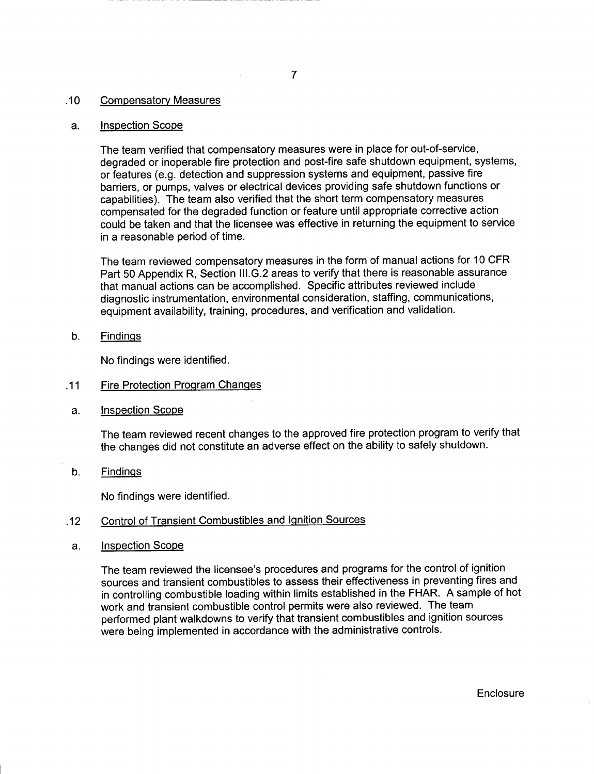#### .10 Compensatory Measures

#### a. Inspection Scope

The team verified that compensatory measures were in place for out-of-service, degraded or inoperable fire protection and post-fire safe shutdown equipment, systems, or features (e.9. detection and suppression systems and equipment, passive fire barriers, or pumps, valves or electrical devices providing safe shutdown functions or capabilities). The team also verified that the short term compensatory measures compensated for the degraded function or feature until appropriate corrective action could be taken and that the licensee was effective in returning the equipment to service in a reasonable period of time.

The team reviewed compensatory measures in the form of manual actions for 10 CFR Part 50 Appendix R, Section lll.G.2 areas to verify that there is reasonable assurance that manual actions can be accomplished. Specific attributes reviewed include diagnostic instrumentation, environmental consideration, staffing, communications, equipment availability, training, procedures, and verification and validation.

b. Findinqs

No findings were identified.

- .11 Fire Protection Program Changes
- a. Inspection Scope

The team reviewed recent changes to the approved fire protection program to verify that the changes did not constitute an adverse effect on the ability to safely shutdown.

b. Findings

No findings were identified.

### .12 Control of Transient Combustibles and lqnition Sources

a. Inspection Scope

The team reviewed the licensee's procedures and programs for the control of ignition sources and transient combustibles to assess their effectiveness in preventing fires and in controlling combustible loading within limits established in the FHAR. A sample of hot work and transient combustible control permits were also reviewed. The team performed plant walkdowns to verify that transient combustibles and ignition sources were being implemented in accordance with the administrative controls.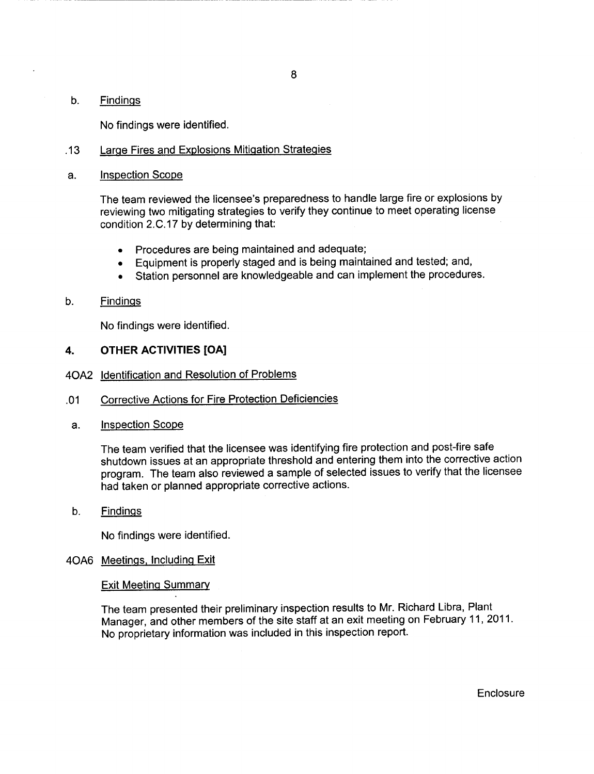#### b. Findinqs

No findings were identified.

#### .13 Large Fires and Explosions Mitigation Strategies

a. Inspection Scope

The team reviewed the licensee's preparedness to handle large fire or explosions by reviewing two mitigating strategies to verify they continue to meet operating license condition 2.C.17 by determining that:

- . Procedures are being maintained and adequate;
- . Equipment is properly staged and is being maintained and tested; and,
- Station personnel are knowledgeable and can implement the procedures.

#### b. Findinqs

No findings were identified.

#### 4. OTHER ACTIVITIES [OA]

- 4OA2 ldentification and Resolution of Problems
- .01 Corrective Actions for Fire Protection Deficiencies
- a. Inspection Scope

The team verified that the licensee was identifying fire protection and post-fire safe shutdown issues at an appropriate threshold and entering them into the corrective action program. The team also reviewed a sample of selected issues to verify that the licensee had taken or planned appropriate corrective actions.

b. Findings

No findings were identified.

#### 4OAO Meetinqs. Includinq Exit

#### Exit Meeting Summary

The team presented their preliminary inspection results to Mr. Richard Libra, Plant Manager, and other members of the site staff at an exit meeting on February 11,2011. No proprietary information was included in this inspection report.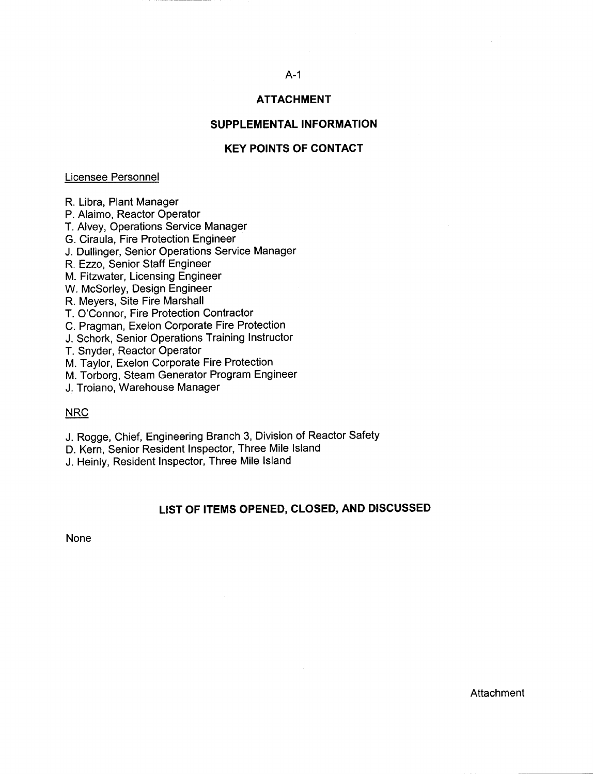# A-1

## ATTACHMENT

#### SUPPLEMENTAL INFORMATION

#### KEY POINTS OF CONTACT

#### Licensee Personnel

R. Libra, Plant Manager

P. Alaimo, Reactor Operator

T. Alvey, Operations Service Manager

G. Ciraula, Fire Protection Engineer

J. Dullinger, Senior Operations Service Manager

R. Ezzo, Senior Staff Engineer

M. Fitzwater, Licensing Engineer

W. McSorley, Design Engineer

R. Meyers, Site Fire Marshall

T. O'Connor, Fire Protection Contractor

C. Pragman, Exelon Corporate Fire Protection

J. Schork, Senior Operations Training Instructor

T. Snyder, Reactor Operator

M. Taylor, Exelon Corporate Fire Protection

M. Torborg, Steam Generator Program Engineer

J. Troiano, Warehouse Manager

#### NRC

J. Rogge, Chief, Engineering Branch 3, Division of Reactor Safety

D. Kern, Senior Resident Inspector, Three Mile lsland

J. Heinly, Resident Inspector, Three Mile lsland

#### LIST OF ITEMS OPENED, CLOSED, AND DISCUSSED

None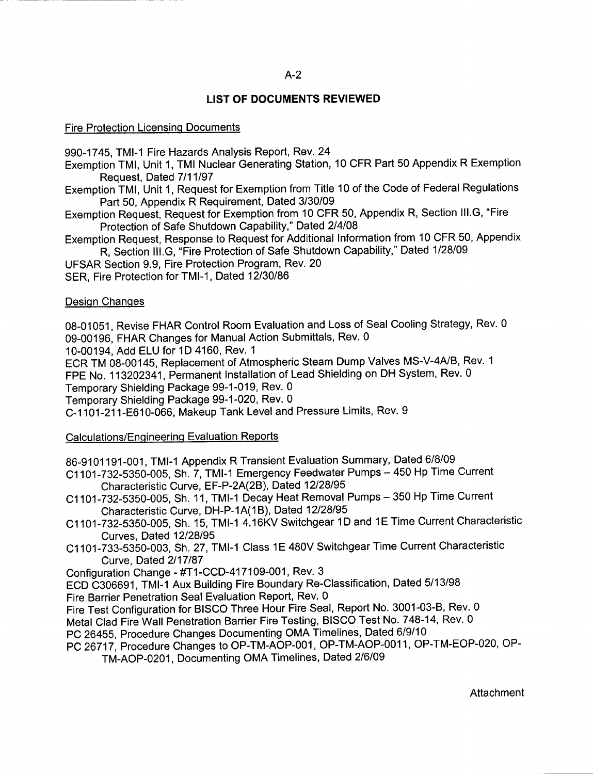#### A-2

#### LIST OF DOCUMENTS REVIEWED

#### Fire Protection Licensinq Documents

990-1745, TMI-1 Fire Hazards Analysis Report, Rev.24

Exemption TMl, Unit 1, TMI Nuclear Generating Station, 10 CFR Part 50 Appendix R Exemption Request, Dated 7/11/97

Exemption TMl, Unit 1, Request for Exemption from Title 10 of the Code of Federal Regulations Part 50, Appendix R Requirement, Dated 3/30/09

Exemption Request, Request for Exemption from 10 CFR 50, Appendix R, Section lll.G, "Fire Protection of Safe Shutdown Capability," Dated 214108

Exemption Request, Response to Request for Additional Information from 10 CFR 50, Appendix R, Section lll.G, "Fire Protection of Safe Shutdown Capability," Dated <sup>1128109</sup>

UFSAR Section 9.9, Fire Protection Program, Rev. 20

SER. Fire Protection for TMI-1, Dated 12/30/86

#### Desiqn Chanqes

08-01051, Revise FHAR Control Room Evaluation and Loss of Seal Cooling Strategy, Rev. <sup>0</sup> 09-00196, FHAR Changes for Manual Action Submittals, Rev. 0

10-00194, Add ELU for 1D 4160, Rev. <sup>1</sup>

ECR TM 08-00145, Replacement of Atmospheric Steam Dump Valves MS-V-4A/B, Rev. <sup>1</sup>

FPE No. 113202341, Permanent Installation of Lead Shielding on DH System, Rev. <sup>0</sup>

Temporary Shielding Package 99-1-019, Rev. 0

Temporary Shielding Package 99-1-020, Rev. 0

c-1101-211-E610-066, Makeup Tank Level and Pressure Limits, Rev. 9

#### Calculations/Enqineerinq Evaluation Reports

g6-9101 191-001 , TMI-1 Appendix R Transient Evaluation Summary, Dated 6/8/09

C1101-732-5350-005, Sh. 7, TMI-1 Emergency Feedwater Pumps - 450 Hp Time Current Characteristic Curve, EF-P-2A(2B), Dated 12/28/95

C1101-732-53S0-005, Sh. 11, TMI-1 Decay Heat Removal Pumps - <sup>350</sup>Hp Time Current Characteristic Curve, DH-P-1A(1B), Dated 12/28/95

Ci1O1-Zg2-0350-005, Sh. 15, TMI-1 4.16KV Switchgear 1D and 1E Time Current Characteristic Curves, Dated 12/28/95

C1101-733-5350-003, Sh. 27, TMI-1 Class 1E 480V Switchgear Time Current Characteristic Curve, Dated 2/17/87

Configuration Change - #T1-CCD-417109-001, Rev. 3

ECD C306691, TMI-1 Aux Building Fire Boundary Re-Classification, Dated <sup>5113198</sup> Fire Barrier Penetration Seal Evaluation Report, Rev. 0

Fire Test Configuration for BISCO Three Hour Fire Seal, Report No. 3001-03-8, Rev. <sup>0</sup>

Metal Clad Fire Wall Penetration Barrier Fire Testing, BISCO Test No. 748-14, Rev. 0

PC 26455, Procedure Changes Documenting OMA Timelines, Dated <sup>619110</sup>

PC 26717, Procedure Changes to OP-TM-AOP-001, OP-TM-AOP-001 1, OP-TM-EOP-020, OP-TM-AOP-0201, Documenting OMA Timelines, Dated 216109

**Attachment**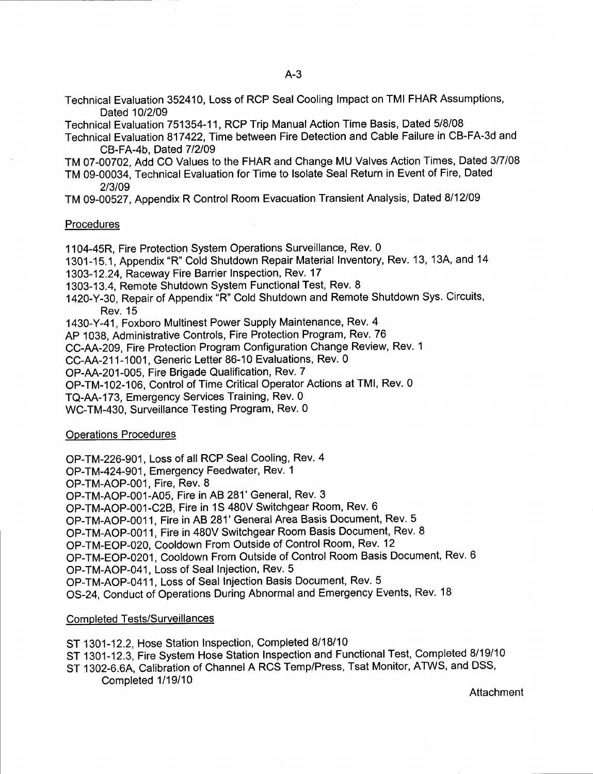Technical Evaluation 352410, Loss of RCP Seal Cooling lmpact on TMI FHAR Assumptions, Dated 10/2/09

Technical Evaluation 751354-11, RCP Trip Manual Action Time Basis, Dated 5/8/08

- Technical Evaluation 817422, Time between Fire Detection and Cable Failure in CB-FA-3d and CB-FA-4b, Dated 712109
- TM 07-00702, Add CO Values to the FHAR and Change MU Valves Action Times, Dated 317108
- TM 09-00034, Technical Evaluation for Time to lsolate Seal Return in Event of Fire, Dated 2/3/09
- TM 09-00527, Appendix R Control Room Evacuation Transient Analysis, Dated 8112109

#### **Procedures**

1104-45R, Fire Protection System Operations Surveillance, Rev. 0

- 1301-15.1, Appendix "R" Cold Shutdown Repair Material Inventory, Rev. 13, 13A, and 14
- 1303-12.24, Raceway Fire Barrier Inspection, Rev. 17

1303-13.4, Remote Shutdown System FunctionalTest, Rev. 8

1420-Y-30, Repair of Appendix "R" Cold Shutdown and Remote Shutdown Sys. Circuits, Rev. 15

1430-Y-41, Foxboro Multinest Power Supply Maintenance, Rev. 4

AP 1038, Administrative Controls, Fire Protection Program, Rev. 76

CC-AA-209, Fire Protection Program Configuration Change Review, Rev. <sup>1</sup>

CC-AA-211-1001, Generic Letter 86-10 Evaluations, Rev. 0

OP-AA-201-005, Fire Brigade Qualification, Rev. 7

OP-TM-102-106, Control of Time Critical Operator Actions at TMl, Rev. 0

TQ-AA-173, Emergency Services Training, Rev. 0

WC-TM-430, Surveillance Testing Program, Rev. 0

#### Operations Procedures

OP-TM-226-901, Loss of all RCP Seal Cooling, Rev. 4

OP-TM-424-901, Emergency Feedwater, Rev. <sup>1</sup>

OP-TM-AOP-001, Fire, Rev. 8

OP-TM-AOP-001-A05, Fire in AB 281'General, Rev. 3

OP-TM-AOP-001-C28, Fire in 1S 480V Switchgear Room, Rev. 6

OP-TM-AOP-0011, Fire in AB 281' General Area Basis Document, Rev. 5

OP-TM-AOP-0011, Fire in 480V Switchgear Room Basis Document, Rev. 8

OP-TM-EOP-020, Cooldown From Outside of Control Room, Rev. 12

OP-TM-EOP-0201, Cooldown From Outside of Control Room Basis Document, Rev. <sup>6</sup>

OP-TM-AOP-041, Loss of Seal lnjection, Rev. 5

OP-TM-AOP-0411, Loss of Seal lnjection Basis Document, Rev. 5

OS-24, Conduct of Operations During Abnormaland Emergency Events, Rev. 18

#### Completed Tests/Surveillances

- ST 1301-12.2, Hose Station Inspection, Completed 8118110
- ST 1301-12.3, Fire System Hose Station Inspection and Functional Test, Completed 8/19/10
- ST 1302-6.6A, Calibration of Channel A RCS Temp/Press, Tsat Monitor, ATWS, and DSS, Completed 1119110

Attachment